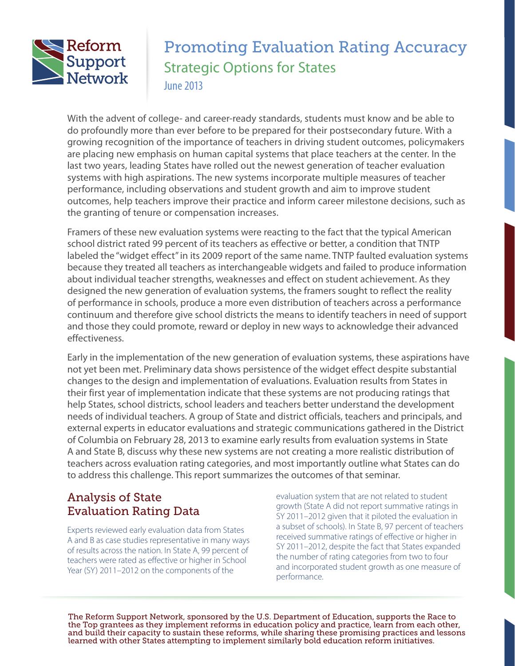

# Promoting Evaluation Rating Accuracy Strategic Options for States June 2013

With the advent of college- and career-ready standards, students must know and be able to do profoundly more than ever before to be prepared for their postsecondary future. With a growing recognition of the importance of teachers in driving student outcomes, policymakers are placing new emphasis on human capital systems that place teachers at the center. In the last two years, leading States have rolled out the newest generation of teacher evaluation systems with high aspirations. The new systems incorporate multiple measures of teacher performance, including observations and student growth and aim to improve student outcomes, help teachers improve their practice and inform career milestone decisions, such as the granting of tenure or compensation increases.

Framers of these new evaluation systems were reacting to the fact that the typical American school district rated 99 percent of its teachers as effective or better, a condition that TNTP labeled the "widget effect" in its 2009 report of the same name. TNTP faulted evaluation systems because they treated all teachers as interchangeable widgets and failed to produce information about individual teacher strengths, weaknesses and effect on student achievement. As they designed the new generation of evaluation systems, the framers sought to reflect the reality of performance in schools, produce a more even distribution of teachers across a performance continuum and therefore give school districts the means to identify teachers in need of support and those they could promote, reward or deploy in new ways to acknowledge their advanced effectiveness.

Early in the implementation of the new generation of evaluation systems, these aspirations have not yet been met. Preliminary data shows persistence of the widget effect despite substantial changes to the design and implementation of evaluations. Evaluation results from States in their first year of implementation indicate that these systems are not producing ratings that help States, school districts, school leaders and teachers better understand the development needs of individual teachers. A group of State and district officials, teachers and principals, and external experts in educator evaluations and strategic communications gathered in the District of Columbia on February 28, 2013 to examine early results from evaluation systems in State A and State B, discuss why these new systems are not creating a more realistic distribution of teachers across evaluation rating categories, and most importantly outline what States can do to address this challenge. This report summarizes the outcomes of that seminar.

# Analysis of State Evaluation Rating Data

Experts reviewed early evaluation data from States A and B as case studies representative in many ways of results across the nation. In State A, 99 percent of teachers were rated as effective or higher in School Year (SY) 2011–2012 on the components of the

evaluation system that are not related to student growth (State A did not report summative ratings in SY 2011–2012 given that it piloted the evaluation in a subset of schools). In State B, 97 percent of teachers received summative ratings of effective or higher in SY 2011–2012, despite the fact that States expanded the number of rating categories from two to four and incorporated student growth as one measure of performance.

The Reform Support Network, sponsored by the U.S. Department of Education, supports the Race to the Top grantees as they implement reforms in education policy and practice, learn from each other, and build their capacity to sustain these reforms, while sharing these promising practices and lessons learned with other States attempting to implement similarly bold education reform initiatives.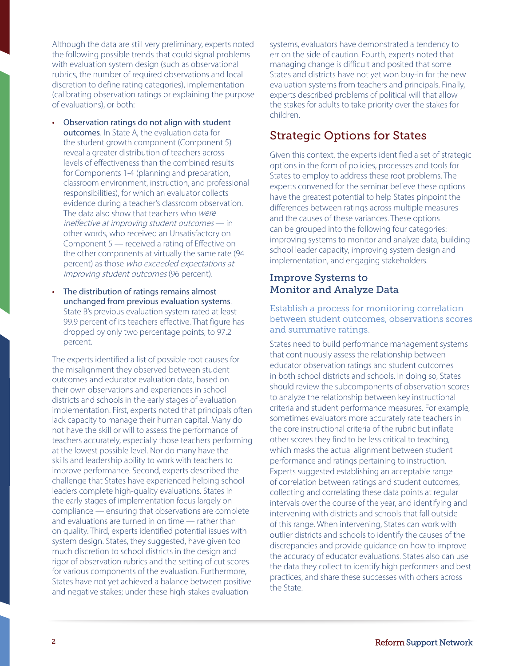Although the data are still very preliminary, experts noted the following possible trends that could signal problems with evaluation system design (such as observational rubrics, the number of required observations and local discretion to define rating categories), implementation (calibrating observation ratings or explaining the purpose of evaluations), or both:

- Observation ratings do not align with student outcomes. In State A, the evaluation data for the student growth component (Component 5) reveal a greater distribution of teachers across levels of effectiveness than the combined results for Components 1-4 (planning and preparation, classroom environment, instruction, and professional responsibilities), for which an evaluator collects evidence during a teacher's classroom observation. The data also show that teachers who were ineffective at improving student outcomes — in other words, who received an Unsatisfactory on Component 5 — received a rating of Effective on the other components at virtually the same rate (94 percent) as those who exceeded expectations at improving student outcomes (96 percent).
- The distribution of ratings remains almost unchanged from previous evaluation systems. State B's previous evaluation system rated at least 99.9 percent of its teachers effective. That figure has dropped by only two percentage points, to 97.2 percent.

The experts identified a list of possible root causes for the misalignment they observed between student outcomes and educator evaluation data, based on their own observations and experiences in school districts and schools in the early stages of evaluation implementation. First, experts noted that principals often lack capacity to manage their human capital. Many do not have the skill or will to assess the performance of teachers accurately, especially those teachers performing at the lowest possible level. Nor do many have the skills and leadership ability to work with teachers to improve performance. Second, experts described the challenge that States have experienced helping school leaders complete high-quality evaluations. States in the early stages of implementation focus largely on compliance — ensuring that observations are complete and evaluations are turned in on time — rather than on quality. Third, experts identified potential issues with system design. States, they suggested, have given too much discretion to school districts in the design and rigor of observation rubrics and the setting of cut scores for various components of the evaluation. Furthermore, States have not yet achieved a balance between positive and negative stakes; under these high-stakes evaluation

systems, evaluators have demonstrated a tendency to err on the side of caution. Fourth, experts noted that managing change is difficult and posited that some States and districts have not yet won buy-in for the new evaluation systems from teachers and principals. Finally, experts described problems of political will that allow the stakes for adults to take priority over the stakes for children.

# Strategic Options for States

Given this context, the experts identified a set of strategic options in the form of policies, processes and tools for States to employ to address these root problems. The experts convened for the seminar believe these options have the greatest potential to help States pinpoint the differences between ratings across multiple measures and the causes of these variances. These options can be grouped into the following four categories: improving systems to monitor and analyze data, building school leader capacity, improving system design and implementation, and engaging stakeholders.

## Improve Systems to Monitor and Analyze Data

### Establish a process for monitoring correlation between student outcomes, observations scores and summative ratings.

States need to build performance management systems that continuously assess the relationship between educator observation ratings and student outcomes in both school districts and schools. In doing so, States should review the subcomponents of observation scores to analyze the relationship between key instructional criteria and student performance measures. For example, sometimes evaluators more accurately rate teachers in the core instructional criteria of the rubric but inflate other scores they find to be less critical to teaching, which masks the actual alignment between student performance and ratings pertaining to instruction. Experts suggested establishing an acceptable range of correlation between ratings and student outcomes, collecting and correlating these data points at regular intervals over the course of the year, and identifying and intervening with districts and schools that fall outside of this range. When intervening, States can work with outlier districts and schools to identify the causes of the discrepancies and provide guidance on how to improve the accuracy of educator evaluations. States also can use the data they collect to identify high performers and best practices, and share these successes with others across the State.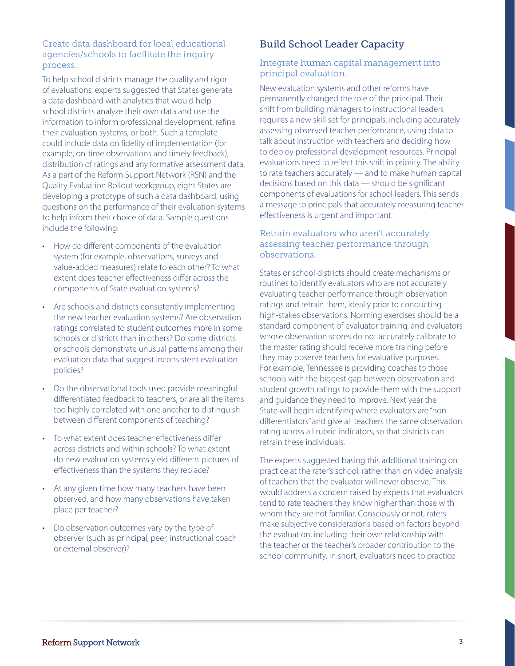### Create data dashboard for local educational agencies/schools to facilitate the inquiry process.

To help school districts manage the quality and rigor of evaluations, experts suggested that States generate a data dashboard with analytics that would help school districts analyze their own data and use the information to inform professional development, refine their evaluation systems, or both. Such a template could include data on fidelity of implementation (for example, on-time observations and timely feedback), distribution of ratings and any formative assessment data. As a part of the Reform Support Network (RSN) and the Quality Evaluation Rollout workgroup, eight States are developing a prototype of such a data dashboard, using questions on the performance of their evaluation systems to help inform their choice of data. Sample questions include the following:

- How do different components of the evaluation system (for example, observations, surveys and value-added measures) relate to each other? To what extent does teacher effectiveness differ across the components of State evaluation systems?
- Are schools and districts consistently implementing the new teacher evaluation systems? Are observation ratings correlated to student outcomes more in some schools or districts than in others? Do some districts or schools demonstrate unusual patterns among their evaluation data that suggest inconsistent evaluation policies?
- Do the observational tools used provide meaningful differentiated feedback to teachers, or are all the items too highly correlated with one another to distinguish between different components of teaching?
- • To what extent does teacher effectiveness differ across districts and within schools? To what extent do new evaluation systems yield different pictures of effectiveness than the systems they replace?
- At any given time how many teachers have been observed, and how many observations have taken place per teacher?
- Do observation outcomes vary by the type of observer (such as principal, peer, instructional coach or external observer)?

# Build School Leader Capacity

### Integrate human capital management into principal evaluation.

New evaluation systems and other reforms have permanently changed the role of the principal. Their shift from building managers to instructional leaders requires a new skill set for principals, including accurately assessing observed teacher performance, using data to talk about instruction with teachers and deciding how to deploy professional development resources. Principal evaluations need to reflect this shift in priority. The ability to rate teachers accurately — and to make human capital decisions based on this data — should be significant components of evaluations for school leaders. This sends a message to principals that accurately measuring teacher effectiveness is urgent and important.

### Retrain evaluators who aren't accurately assessing teacher performance through observations.

States or school districts should create mechanisms or routines to identify evaluators who are not accurately evaluating teacher performance through observation ratings and retrain them, ideally prior to conducting high-stakes observations. Norming exercises should be a standard component of evaluator training, and evaluators whose observation scores do not accurately calibrate to the master rating should receive more training before they may observe teachers for evaluative purposes. For example, Tennessee is providing coaches to those schools with the biggest gap between observation and student growth ratings to provide them with the support and guidance they need to improve. Next year the State will begin identifying where evaluators are "nondifferentiators" and give all teachers the same observation rating across all rubric indicators, so that districts can retrain these individuals.

The experts suggested basing this additional training on practice at the rater's school, rather than on video analysis of teachers that the evaluator will never observe. This would address a concern raised by experts that evaluators tend to rate teachers they know higher than those with whom they are not familiar. Consciously or not, raters make subjective considerations based on factors beyond the evaluation, including their own relationship with the teacher or the teacher's broader contribution to the school community. In short, evaluators need to practice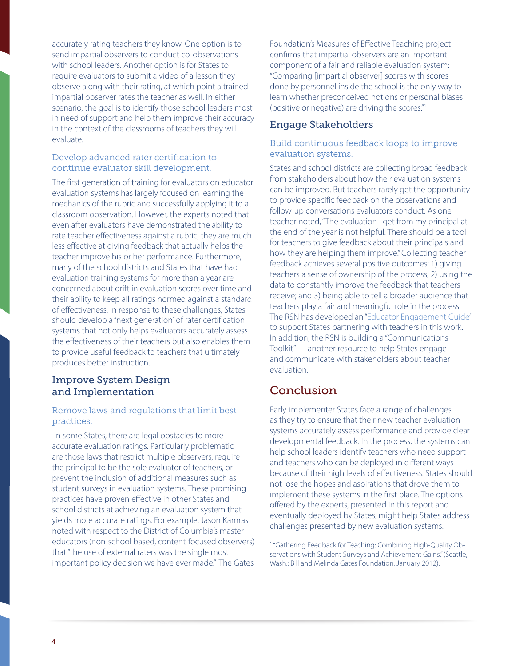accurately rating teachers they know. One option is to send impartial observers to conduct co-observations with school leaders. Another option is for States to require evaluators to submit a video of a lesson they observe along with their rating, at which point a trained impartial observer rates the teacher as well. In either scenario, the goal is to identify those school leaders most in need of support and help them improve their accuracy in the context of the classrooms of teachers they will evaluate.

### Develop advanced rater certification to continue evaluator skill development.

The first generation of training for evaluators on educator evaluation systems has largely focused on learning the mechanics of the rubric and successfully applying it to a classroom observation. However, the experts noted that even after evaluators have demonstrated the ability to rate teacher effectiveness against a rubric, they are much less effective at giving feedback that actually helps the teacher improve his or her performance. Furthermore, many of the school districts and States that have had evaluation training systems for more than a year are concerned about drift in evaluation scores over time and their ability to keep all ratings normed against a standard of effectiveness. In response to these challenges, States should develop a "next generation" of rater certification systems that not only helps evaluators accurately assess the effectiveness of their teachers but also enables them to provide useful feedback to teachers that ultimately produces better instruction.

### Improve System Design and Implementation

### Remove laws and regulations that limit best practices.

In some States, there are legal obstacles to more accurate evaluation ratings. Particularly problematic are those laws that restrict multiple observers, require the principal to be the sole evaluator of teachers, or prevent the inclusion of additional measures such as student surveys in evaluation systems. These promising practices have proven effective in other States and school districts at achieving an evaluation system that yields more accurate ratings. For example, Jason Kamras noted with respect to the District of Columbia's master educators (non-school based, content-focused observers) that "the use of external raters was the single most important policy decision we have ever made." The Gates Foundation's Measures of Effective Teaching project confirms that impartial observers are an important component of a fair and reliable evaluation system: "Comparing [impartial observer] scores with scores done by personnel inside the school is the only way to learn whether preconceived notions or personal biases (positive or negative) are driving the scores."1

## Engage Stakeholders

### Build continuous feedback loops to improve evaluation systems.

States and school districts are collecting broad feedback from stakeholders about how their evaluation systems can be improved. But teachers rarely get the opportunity to provide specific feedback on the observations and follow-up conversations evaluators conduct. As one teacher noted, "The evaluation I get from my principal at the end of the year is not helpful. There should be a tool for teachers to give feedback about their principals and how they are helping them improve." Collecting teacher feedback achieves several positive outcomes: 1) giving teachers a sense of ownership of the process; 2) using the data to constantly improve the feedback that teachers receive; and 3) being able to tell a broader audience that teachers play a fair and meaningful role in the process. The RSN has developed an "[Educator Engagement Guide](http://www2.ed.gov/about/inits/ed/implementation-support-unit/tech-assist/engaging-educators-states-guide.pdf)" to support States partnering with teachers in this work. In addition, the RSN is building a "Communications Toolkit" — another resource to help States engage and communicate with stakeholders about teacher evaluation.

# **Conclusion**

Early-implementer States face a range of challenges as they try to ensure that their new teacher evaluation systems accurately assess performance and provide clear developmental feedback. In the process, the systems can help school leaders identify teachers who need support and teachers who can be deployed in different ways because of their high levels of effectiveness. States should not lose the hopes and aspirations that drove them to implement these systems in the first place. The options offered by the experts, presented in this report and eventually deployed by States, might help States address challenges presented by new evaluation systems.

<sup>1</sup> "Gathering Feedback for Teaching: Combining High-Quality Observations with Student Surveys and Achievement Gains." (Seattle, Wash.: Bill and Melinda Gates Foundation, January 2012).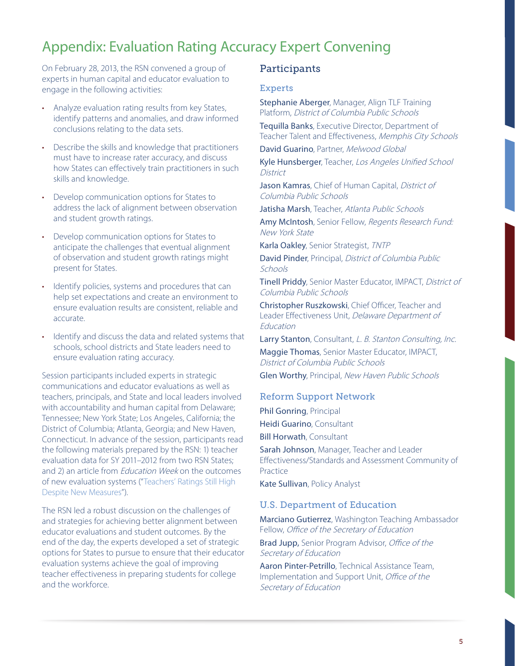# Appendix: Evaluation Rating Accuracy Expert Convening

On February 28, 2013, the RSN convened a group of experts in human capital and educator evaluation to engage in the following activities:

- Analyze evaluation rating results from key States, identify patterns and anomalies, and draw informed conclusions relating to the data sets.
- Describe the skills and knowledge that practitioners must have to increase rater accuracy, and discuss how States can effectively train practitioners in such skills and knowledge.
- Develop communication options for States to address the lack of alignment between observation and student growth ratings.
- Develop communication options for States to anticipate the challenges that eventual alignment of observation and student growth ratings might present for States.
- Identify policies, systems and procedures that can help set expectations and create an environment to ensure evaluation results are consistent, reliable and accurate.
- Identify and discuss the data and related systems that schools, school districts and State leaders need to ensure evaluation rating accuracy.

Session participants included experts in strategic communications and educator evaluations as well as teachers, principals, and State and local leaders involved with accountability and human capital from Delaware; Tennessee; New York State; Los Angeles, California; the District of Columbia; Atlanta, Georgia; and New Haven, Connecticut. In advance of the session, participants read the following materials prepared by the RSN: 1) teacher evaluation data for SY 2011–2012 from two RSN States; and 2) an article from Education Week on the outcomes of new evaluation systems ("[Teachers' Ratings Still High](http://www.edweek.org/ew/articles/2013/02/06/20evaluate_ep.h32.html)  [Despite New Measures"](http://www.edweek.org/ew/articles/2013/02/06/20evaluate_ep.h32.html)).

The RSN led a robust discussion on the challenges of and strategies for achieving better alignment between educator evaluations and student outcomes. By the end of the day, the experts developed a set of strategic options for States to pursue to ensure that their educator evaluation systems achieve the goal of improving teacher effectiveness in preparing students for college and the workforce.

## Participants

### Experts

Stephanie Aberger, Manager, Align TLF Training Platform, District of Columbia Public Schools

Tequilla Banks, Executive Director, Department of Teacher Talent and Effectiveness, Memphis City Schools

David Guarino, Partner, Melwood Global

Kyle Hunsberger, Teacher, Los Angeles Unified School **District** 

Jason Kamras, Chief of Human Capital, District of Columbia Public Schools

Jatisha Marsh, Teacher, Atlanta Public Schools

Amy McIntosh, Senior Fellow, Regents Research Fund: New York State

Karla Oakley, Senior Strategist, TNTP

David Pinder, Principal, District of Columbia Public **Schools** 

Tinell Priddy, Senior Master Educator, IMPACT, District of Columbia Public Schools

Christopher Ruszkowski, Chief Officer, Teacher and Leader Effectiveness Unit, Delaware Department of Education

Larry Stanton, Consultant, L. B. Stanton Consulting, Inc. Maggie Thomas, Senior Master Educator, IMPACT, District of Columbia Public Schools

Glen Worthy, Principal, New Haven Public Schools

#### Reform Support Network

Phil Gonring, Principal Heidi Guarino, Consultant Bill Horwath, Consultant

Sarah Johnson, Manager, Teacher and Leader Effectiveness/Standards and Assessment Community of Practice

Kate Sullivan, Policy Analyst

### U.S. Department of Education

Marciano Gutierrez, Washington Teaching Ambassador Fellow, Office of the Secretary of Education

Brad Jupp, Senior Program Advisor, Office of the Secretary of Education

Aaron Pinter-Petrillo, Technical Assistance Team, Implementation and Support Unit, Office of the Secretary of Education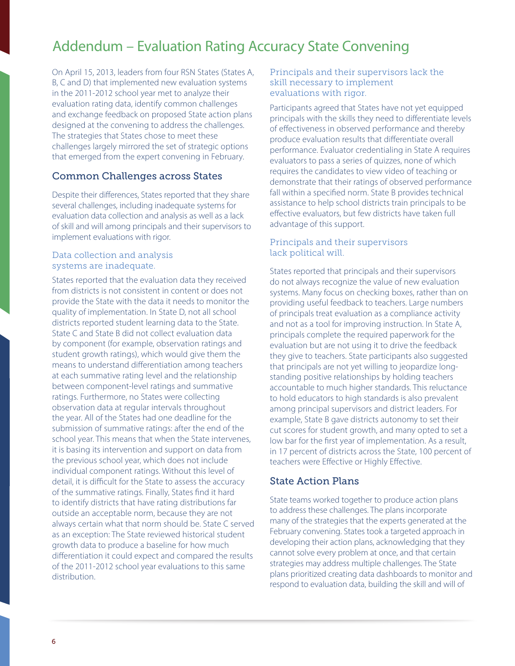# Addendum – Evaluation Rating Accuracy State Convening

On April 15, 2013, leaders from four RSN States (States A, B, C and D) that implemented new evaluation systems in the 2011-2012 school year met to analyze their evaluation rating data, identify common challenges and exchange feedback on proposed State action plans designed at the convening to address the challenges. The strategies that States chose to meet these challenges largely mirrored the set of strategic options that emerged from the expert convening in February.

### Common Challenges across States

Despite their differences, States reported that they share several challenges, including inadequate systems for evaluation data collection and analysis as well as a lack of skill and will among principals and their supervisors to implement evaluations with rigor.

### Data collection and analysis systems are inadequate.

States reported that the evaluation data they received from districts is not consistent in content or does not provide the State with the data it needs to monitor the quality of implementation. In State D, not all school districts reported student learning data to the State. State C and State B did not collect evaluation data by component (for example, observation ratings and student growth ratings), which would give them the means to understand differentiation among teachers at each summative rating level and the relationship between component-level ratings and summative ratings. Furthermore, no States were collecting observation data at regular intervals throughout the year. All of the States had one deadline for the submission of summative ratings: after the end of the school year. This means that when the State intervenes, it is basing its intervention and support on data from the previous school year, which does not include individual component ratings. Without this level of detail, it is difficult for the State to assess the accuracy of the summative ratings. Finally, States find it hard to identify districts that have rating distributions far outside an acceptable norm, because they are not always certain what that norm should be. State C served as an exception: The State reviewed historical student growth data to produce a baseline for how much differentiation it could expect and compared the results of the 2011-2012 school year evaluations to this same distribution.

### Principals and their supervisors lack the skill necessary to implement evaluations with rigor.

Participants agreed that States have not yet equipped principals with the skills they need to differentiate levels of effectiveness in observed performance and thereby produce evaluation results that differentiate overall performance. Evaluator credentialing in State A requires evaluators to pass a series of quizzes, none of which requires the candidates to view video of teaching or demonstrate that their ratings of observed performance fall within a specified norm. State B provides technical assistance to help school districts train principals to be effective evaluators, but few districts have taken full advantage of this support.

### Principals and their supervisors lack political will.

States reported that principals and their supervisors do not always recognize the value of new evaluation systems. Many focus on checking boxes, rather than on providing useful feedback to teachers. Large numbers of principals treat evaluation as a compliance activity and not as a tool for improving instruction. In State A, principals complete the required paperwork for the evaluation but are not using it to drive the feedback they give to teachers. State participants also suggested that principals are not yet willing to jeopardize longstanding positive relationships by holding teachers accountable to much higher standards. This reluctance to hold educators to high standards is also prevalent among principal supervisors and district leaders. For example, State B gave districts autonomy to set their cut scores for student growth, and many opted to set a low bar for the first year of implementation. As a result, in 17 percent of districts across the State, 100 percent of teachers were Effective or Highly Effective.

### State Action Plans

State teams worked together to produce action plans to address these challenges. The plans incorporate many of the strategies that the experts generated at the February convening. States took a targeted approach in developing their action plans, acknowledging that they cannot solve every problem at once, and that certain strategies may address multiple challenges. The State plans prioritized creating data dashboards to monitor and respond to evaluation data, building the skill and will of